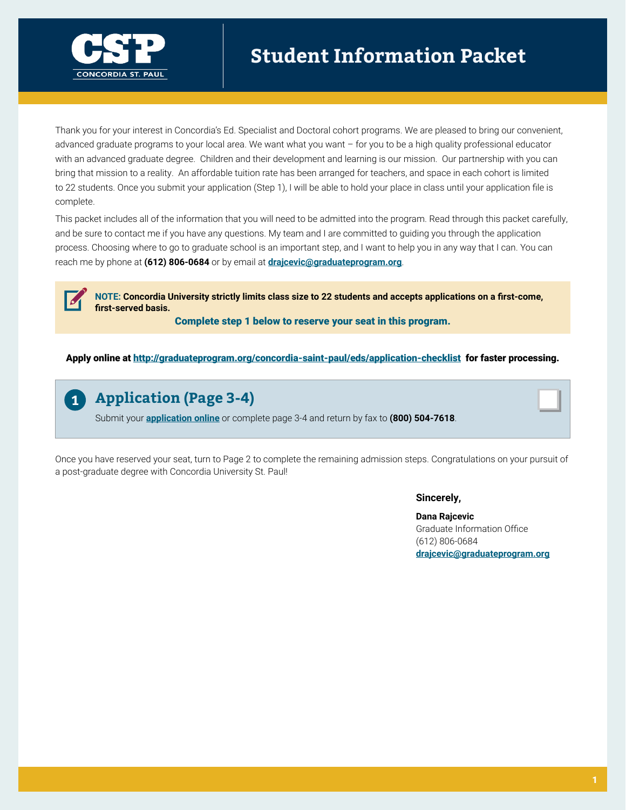

Thank you for your interest in Concordia's Ed. Specialist and Doctoral cohort programs. We are pleased to bring our convenient, advanced graduate programs to your local area. We want what you want – for you to be a high quality professional educator with an advanced graduate degree. Children and their development and learning is our mission. Our partnership with you can bring that mission to a reality. An affordable tuition rate has been arranged for teachers, and space in each cohort is limited to 22 students. Once you submit your application (Step 1), I will be able to hold your place in class until your application file is complete.

This packet includes all of the information that you will need to be admitted into the program. Read through this packet carefully, and be sure to contact me if you have any questions. My team and I are committed to guiding you through the application process. Choosing where to go to graduate school is an important step, and I want to help you in any way that I can. You can reach me by phone at **(612) 806-0684** or by email at **drajcevic[@graduateprogram.org](mailto:drajcevic%40graduateprogram.org?subject=)**.

**NOTE: Concordia University strictly limits class size to 22 students and accepts applications on a first-come, first-served basis.** 

Complete step 1 below to reserve your seat in this program.

Apply online at<http://graduateprogram.org/concordia-saint-paul/eds/application-checklist>for faster processing.



# **Application (Page 3-4)**

Submit your **[application online](http://graduateprogram.org/concordia-saint-paul/eds/application-checklist)** or complete page 3-4 and return by fax to **(800) 504-7618**.

Once you have reserved your seat, turn to Page 2 to complete the remaining admission steps. Congratulations on your pursuit of a post-graduate degree with Concordia University St. Paul!

#### **Sincerely,**

**Dana Rajcevic** Graduate Information Office (612) 806-0684 **drajcevic[@graduateprogram.org](mailto:drajcevic%40graduateprogram.org?subject=)**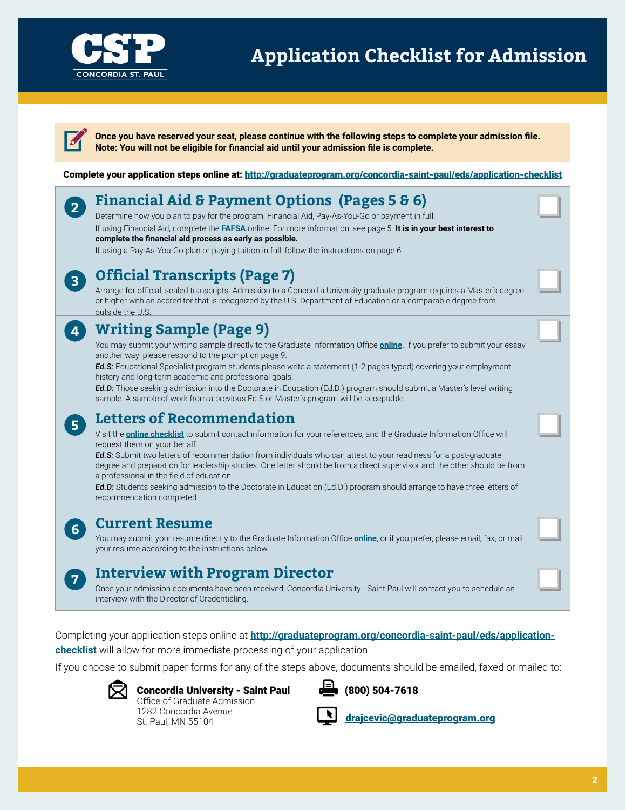

# **Application Checklist for Admission**

**Once you have reserved your seat, please continue with the following steps to complete your admission file. Note: You will not be eligible for financial aid until your admission file is complete.** 

Complete your application steps online at: <http://graduateprogram.org/concordia-saint-paul/eds/application-checklist>

# **Financial Aid & Payment Options (Pages 5 & 6)**

Determine how you plan to pay for the program: Financial Aid, Pay-As-You-Go or payment in full. If using Financial Aid, complete the **[FAFSA](www.fafsa.ed.gov)** online. For more information, see page 5. **It is in your best interest to complete the financial aid process as early as possible.** 

If using a Pay-As-You-Go plan or paying tuition in full, follow the instructions on page 6.



**4**

**5**

**6**

**7**

**2**

# **Official Transcripts (Page 7)**

Arrange for official, sealed transcripts. Admission to a Concordia University graduate program requires a Master's degree or higher with an accreditor that is recognized by the U.S. Department of Education or a comparable degree from outside the U.S.

# **Writing Sample (Page 9)**

You may submit your writing sample directly to the Graduate Information Office **[online](http://graduateprogram.org/concordia-saint-paul/eds/application-checklist)**. If you prefer to submit your essay another way, please respond to the prompt on page 9.

*Ed.S:* Educational Specialist program students please write a statement (1-2 pages typed) covering your employment history and long-term academic and professional goals.

*Ed.D:* Those seeking admission into the Doctorate in Education (Ed.D.) program should submit a Master's level writing sample. A sample of work from a previous Ed.S or Master's program will be acceptable.

# **Letters of Recommendation**

Visit the **[online checklist](http://www.graduateprogram.org/concordia-saint-paul/eds/application-checklist)** to submit contact information for your references, and the Graduate Information Office will request them on your behalf.

*Ed.S:* Submit two letters of recommendation from individuals who can attest to your readiness for a post-graduate degree and preparation for leadership studies. One letter should be from a direct supervisor and the other should be from a professional in the field of education.

*Ed.D:* Students seeking admission to the Doctorate in Education (Ed.D.) program should arrange to have three letters of recommendation completed.

### **Current Resume**

You may submit your resume directly to the Graduate Information Office **[online](http://graduateprogram.org/concordia-saint-paul/eds/application-checklist)**, or if you prefer, please email, fax, or mail your resume according to the instructions below.

# **Interview with Program Director**

Once your admission documents have been received, Concordia University - Saint Paul will contact you to schedule an interview with the Director of Credentialing.

Completing your application steps online at **[http://graduateprogram.org/concordia-saint-paul/eds/application](http://graduateprogram.org/concordia-saint-paul/eds/application-checklist)[checklist](http://graduateprogram.org/concordia-saint-paul/eds/application-checklist)** will allow for more immediate processing of your application.

If you choose to submit paper forms for any of the steps above, documents should be emailed, faxed or mailed to:



Concordia University - Saint Paul Office of Graduate Admission 1282 Concordia Avenue St. Paul, MN 55104



(800) 504-7618

drajcevi[c@graduateprogram.org](mailto:drajcevic%40graduateprogram.org?subject=)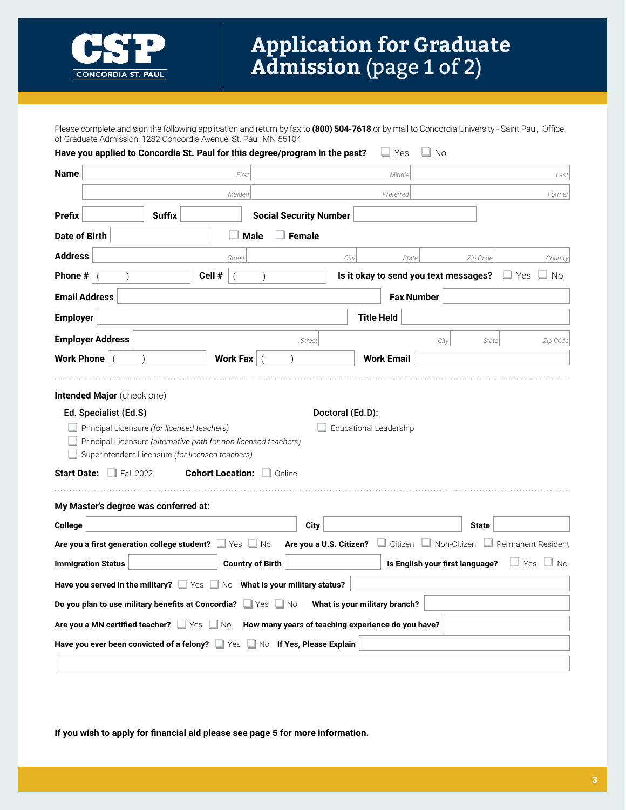

Please complete and sign the following application and return by fax to **(800) 504-7618** or by mail to Concordia University - Saint Paul, Office of Graduate Admission, 1282 Concordia Avenue, St. Paul, MN 55104.

| Have you applied to Concordia St. Paul for this degree/program in the past? |                  |                                                                             |                         |                                                    | Yes                                   | ∐ No                            |              |                                              |
|-----------------------------------------------------------------------------|------------------|-----------------------------------------------------------------------------|-------------------------|----------------------------------------------------|---------------------------------------|---------------------------------|--------------|----------------------------------------------|
| <b>Name</b>                                                                 |                  | First                                                                       |                         |                                                    | Middle                                |                                 |              | Last                                         |
|                                                                             |                  | Maiden                                                                      |                         |                                                    | Preferred                             |                                 |              | Former                                       |
| <b>Prefix</b>                                                               | <b>Suffix</b>    |                                                                             |                         | <b>Social Security Number</b>                      |                                       |                                 |              |                                              |
| <b>Date of Birth</b>                                                        |                  |                                                                             | <b>Male</b>             | $\Box$ Female                                      |                                       |                                 |              |                                              |
| <b>Address</b>                                                              |                  | <b>Street</b>                                                               |                         | City                                               |                                       | State                           | Zip Code     | Country                                      |
| Phone #                                                                     |                  | Cell #                                                                      |                         |                                                    | Is it okay to send you text messages? |                                 |              | $\Box$ Yes<br>∐ No                           |
| <b>Email Address</b>                                                        |                  |                                                                             |                         |                                                    |                                       | <b>Fax Number</b>               |              |                                              |
| <b>Employer</b>                                                             |                  |                                                                             |                         |                                                    | <b>Title Held</b>                     |                                 |              |                                              |
| <b>Employer Address</b>                                                     |                  |                                                                             |                         | <b>Street</b>                                      |                                       | City                            | State        | Zip Code                                     |
| Work Phone   (                                                              |                  | <b>Work Fax</b>                                                             |                         |                                                    | <b>Work Email</b>                     |                                 |              |                                              |
| <b>Start Date:</b>                                                          | $\Box$ Fall 2022 | Superintendent Licensure (for licensed teachers)<br><b>Cohort Location:</b> | Online                  |                                                    |                                       |                                 |              |                                              |
| My Master's degree was conferred at:                                        |                  |                                                                             |                         |                                                    |                                       |                                 |              |                                              |
| College                                                                     |                  |                                                                             |                         | <b>City</b>                                        |                                       |                                 | <b>State</b> |                                              |
| Are you a first generation college student? Ves No                          |                  |                                                                             |                         | Are you a U.S. Citizen?                            |                                       |                                 |              | □ Citizen □ Non-Citizen □ Permanent Resident |
| <b>Immigration Status</b>                                                   |                  |                                                                             | <b>Country of Birth</b> |                                                    |                                       | Is English your first language? |              | $\Box$ Yes<br>$\Box$ No                      |
| Have you served in the military? Ves No What is your military status?       |                  |                                                                             |                         |                                                    |                                       |                                 |              |                                              |
| Do you plan to use military benefits at Concordia? $\Box$ Yes $\Box$ No     |                  |                                                                             |                         |                                                    | What is your military branch?         |                                 |              |                                              |
| Are you a MN certified teacher? $\Box$ Yes $\Box$ No                        |                  |                                                                             |                         | How many years of teaching experience do you have? |                                       |                                 |              |                                              |
| Have you ever been convicted of a felony? Ves No If Yes, Please Explain     |                  |                                                                             |                         |                                                    |                                       |                                 |              |                                              |
|                                                                             |                  |                                                                             |                         |                                                    |                                       |                                 |              |                                              |

**If you wish to apply for financial aid please see page 5 for more information.**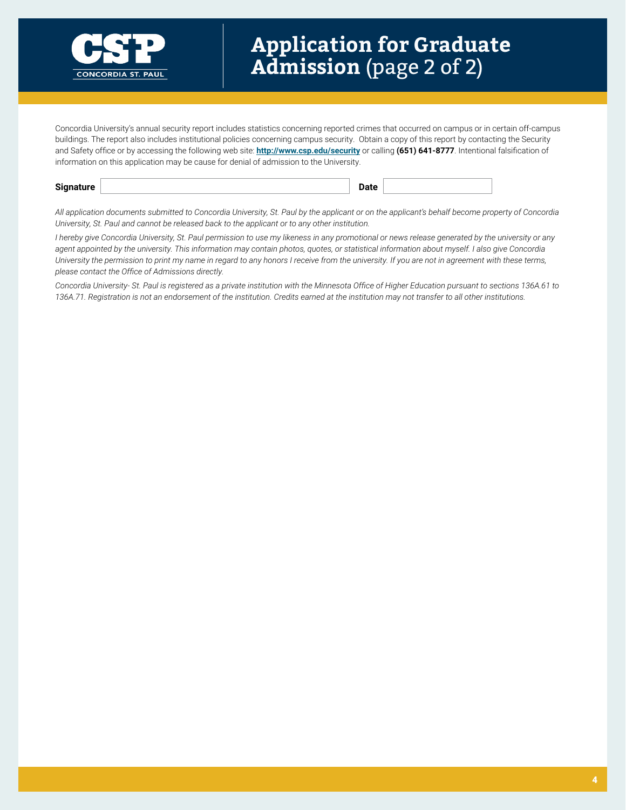

Concordia University's annual security report includes statistics concerning reported crimes that occurred on campus or in certain off-campus buildings. The report also includes institutional policies concerning campus security. Obtain a copy of this report by contacting the Security and Safety office or by accessing the following web site: **<http://www.csp.edu/security>** or calling **(651) 641-8777**. Intentional falsification of information on this application may be cause for denial of admission to the University.

*All application documents submitted to Concordia University, St. Paul by the applicant or on the applicant's behalf become property of Concordia University, St. Paul and cannot be released back to the applicant or to any other institution.*

*I hereby give Concordia University, St. Paul permission to use my likeness in any promotional or news release generated by the university or any agent appointed by the university. This information may contain photos, quotes, or statistical information about myself. I also give Concordia University the permission to print my name in regard to any honors I receive from the university. If you are not in agreement with these terms, please contact the Office of Admissions directly.* 

Concordia University- St. Paul is registered as a private institution with the Minnesota Office of Higher Education pursuant to sections 136A.61 to *136A.71. Registration is not an endorsement of the institution. Credits earned at the institution may not transfer to all other institutions.*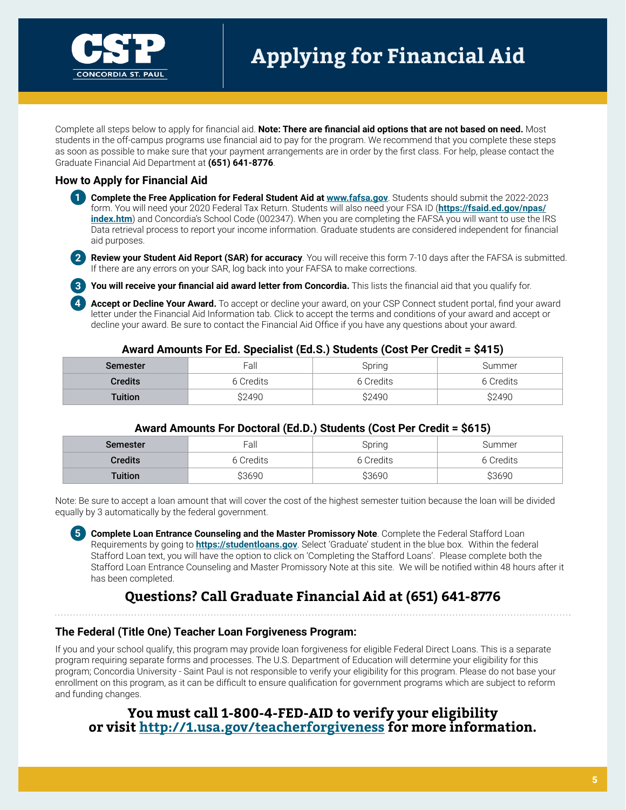

Complete all steps below to apply for financial aid. **Note: There are financial aid options that are not based on need.** Most students in the off-campus programs use financial aid to pay for the program. We recommend that you complete these steps as soon as possible to make sure that your payment arrangements are in order by the first class. For help, please contact the Graduate Financial Aid Department at **(651) 641-8776**.

### **How to Apply for Financial Aid**

- **1 Complete the Free Application for Federal Student Aid at <b><www.fafsa.gov>**. Students should submit the 2022-2023 form. You will need your 2020 Federal Tax Return. Students will also need your FSA ID (**[https://fsaid.ed.gov/npas/](https://fsaid.ed.gov/npas/index.htm) [index.htm](https://fsaid.ed.gov/npas/index.htm)**) and Concordia's School Code (002347). When you are completing the FAFSA you will want to use the IRS Data retrieval process to report your income information. Graduate students are considered independent for financial aid purposes.
- **2 Review your Student Aid Report (SAR) for accuracy**. You will receive this form 7-10 days after the FAFSA is submitted. If there are any errors on your SAR, log back into your FAFSA to make corrections.

**3 You will receive your financial aid award letter from Concordia.** This lists the financial aid that you qualify for.

**4 Accept or Decline Your Award.** To accept or decline your award, on your CSP Connect student portal, find your award letter under the Financial Aid Information tab. Click to accept the terms and conditions of your award and accept or decline your award. Be sure to contact the Financial Aid Office if you have any questions about your award.

#### **Award Amounts For Ed. Specialist (Ed.S.) Students (Cost Per Credit = \$415)**

| <b>Semester</b> | Fall      | Spring    | Summer    |
|-----------------|-----------|-----------|-----------|
| <b>Credits</b>  | 6 Credits | 6 Credits | 6 Credits |
| <b>Tuition</b>  | \$2490    | S2490     | \$2490    |

### **Award Amounts For Doctoral (Ed.D.) Students (Cost Per Credit = \$615)**

| Semester       | Fall      | Spring    | Summer    |
|----------------|-----------|-----------|-----------|
| <b>Credits</b> | 6 Credits | 6 Credits | 6 Credits |
| Tuition        | \$3690    | \$3690    | \$3690    |

Note: Be sure to accept a loan amount that will cover the cost of the highest semester tuition because the loan will be divided equally by 3 automatically by the federal government.

**5 Complete Loan Entrance Counseling and the Master Promissory Note**. Complete the Federal Stafford Loan Requirements by going to **<https://studentloans.gov>**. Select 'Graduate' student in the blue box. Within the federal Stafford Loan text, you will have the option to click on 'Completing the Stafford Loans'. Please complete both the Stafford Loan Entrance Counseling and Master Promissory Note at this site. We will be notified within 48 hours after it has been completed.

# **Questions? Call Graduate Financial Aid at (651) 641-8776**

### **The Federal (Title One) Teacher Loan Forgiveness Program:**

If you and your school qualify, this program may provide loan forgiveness for eligible Federal Direct Loans. This is a separate program requiring separate forms and processes. The U.S. Department of Education will determine your eligibility for this program; Concordia University - Saint Paul is not responsible to verify your eligibility for this program. Please do not base your enrollment on this program, as it can be difficult to ensure qualification for government programs which are subject to reform and funding changes.

### **You must call 1-800-4-FED-AID to verify your eligibility or visit<http://1.usa.gov/teacherforgiveness> for more information.**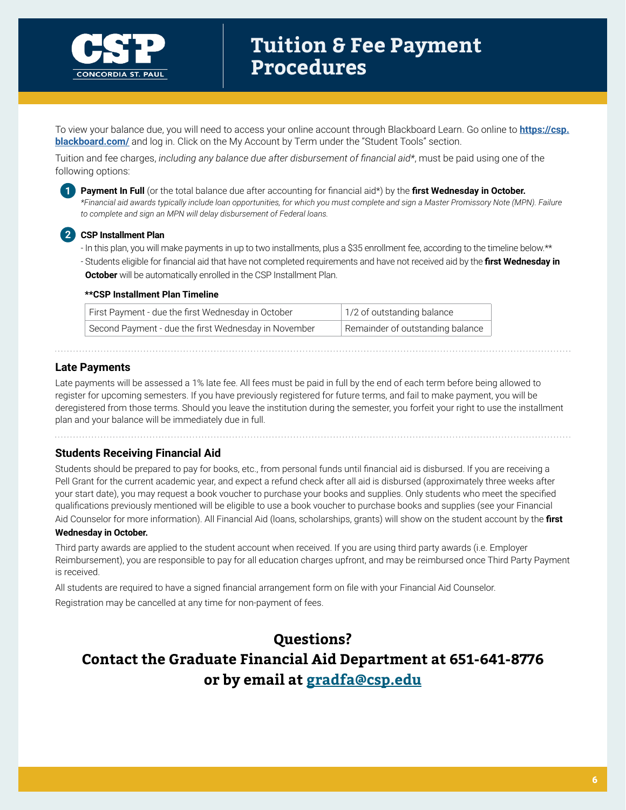

To view your balance due, you will need to access your online account through Blackboard Learn. Go online to **[https://csp.](https://csp.blackboard.com/) [blackboard.com/](https://csp.blackboard.com/)** and log in. Click on the My Account by Term under the "Student Tools" section.

Tuition and fee charges, *including any balance due after disbursement of financial aid\**, must be paid using one of the following options:



**1 Payment In Full** (or the total balance due after accounting for financial aid\*) by the **first Wednesday in October.** *\*Financial aid awards typically include loan opportunities, for which you must complete and sign a Master Promissory Note (MPN). Failure to complete and sign an MPN will delay disbursement of Federal loans.*

#### **2 CSP Installment Plan**

- In this plan, you will make payments in up to two installments, plus a \$35 enrollment fee, according to the timeline below.\*\*
- Students eligible for financial aid that have not completed requirements and have not received aid by the **first Wednesday in October** will be automatically enrolled in the CSP Installment Plan.

#### **\*\*CSP Installment Plan Timeline**

| First Payment - due the first Wednesday in October   | 1/2 of outstanding balance       |
|------------------------------------------------------|----------------------------------|
| Second Payment - due the first Wednesday in November | Remainder of outstanding balance |

### **Late Payments**

Late payments will be assessed a 1% late fee. All fees must be paid in full by the end of each term before being allowed to register for upcoming semesters. If you have previously registered for future terms, and fail to make payment, you will be deregistered from those terms. Should you leave the institution during the semester, you forfeit your right to use the installment plan and your balance will be immediately due in full.

### **Students Receiving Financial Aid**

Students should be prepared to pay for books, etc., from personal funds until financial aid is disbursed. If you are receiving a Pell Grant for the current academic year, and expect a refund check after all aid is disbursed (approximately three weeks after your start date), you may request a book voucher to purchase your books and supplies. Only students who meet the specified qualifications previously mentioned will be eligible to use a book voucher to purchase books and supplies (see your Financial Aid Counselor for more information). All Financial Aid (loans, scholarships, grants) will show on the student account by the **first** 

#### **Wednesday in October.**

Third party awards are applied to the student account when received. If you are using third party awards (i.e. Employer Reimbursement), you are responsible to pay for all education charges upfront, and may be reimbursed once Third Party Payment is received.

All students are required to have a signed financial arrangement form on file with your Financial Aid Counselor.

Registration may be cancelled at any time for non-payment of fees.

# **Questions? Contact the Graduate Financial Aid Department at 651-641-8776 or by email at [gradfa@csp.edu](mailto:gradfa%40csp.edu?subject=)**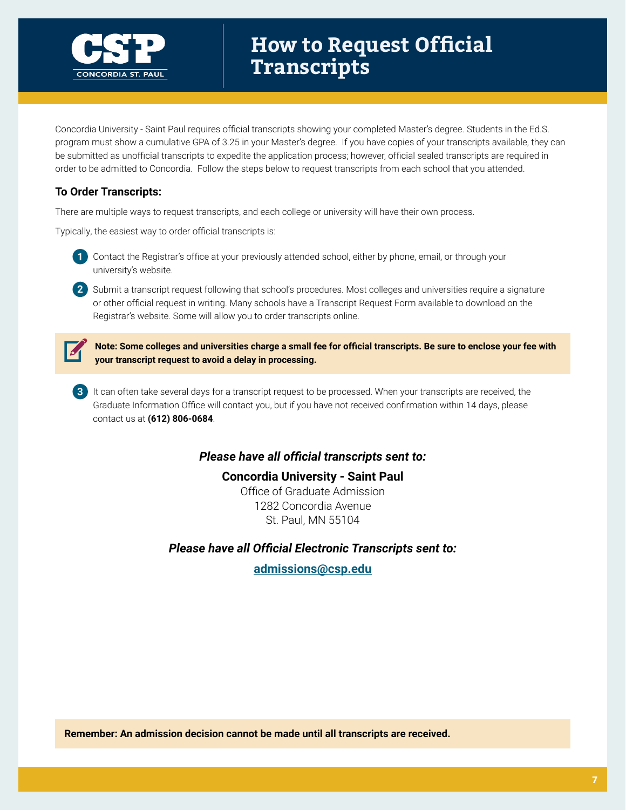

# **How to Request Official Transcripts**

Concordia University - Saint Paul requires official transcripts showing your completed Master's degree. Students in the Ed.S. program must show a cumulative GPA of 3.25 in your Master's degree. If you have copies of your transcripts available, they can be submitted as unofficial transcripts to expedite the application process; however, official sealed transcripts are required in order to be admitted to Concordia. Follow the steps below to request transcripts from each school that you attended.

### **To Order Transcripts:**

There are multiple ways to request transcripts, and each college or university will have their own process.

Typically, the easiest way to order official transcripts is:



**2** Submit a transcript request following that school's procedures. Most colleges and universities require a signature or other official request in writing. Many schools have a Transcript Request Form available to download on the Registrar's website. Some will allow you to order transcripts online.



**Note: Some colleges and universities charge a small fee for official transcripts. Be sure to enclose your fee with your transcript request to avoid a delay in processing.** 

**3** It can often take several days for a transcript request to be processed. When your transcripts are received, the Graduate Information Office will contact you, but if you have not received confirmation within 14 days, please contact us at **(612) 806-0684**.

### *Please have all official transcripts sent to:*

**Concordia University - Saint Paul** Office of Graduate Admission 1282 Concordia Avenue St. Paul, MN 55104

*Please have all Official Electronic Transcripts sent to:*

**[admissions@csp.edu](mailto:admissions%40csp.edu?subject=)**

**Remember: An admission decision cannot be made until all transcripts are received.**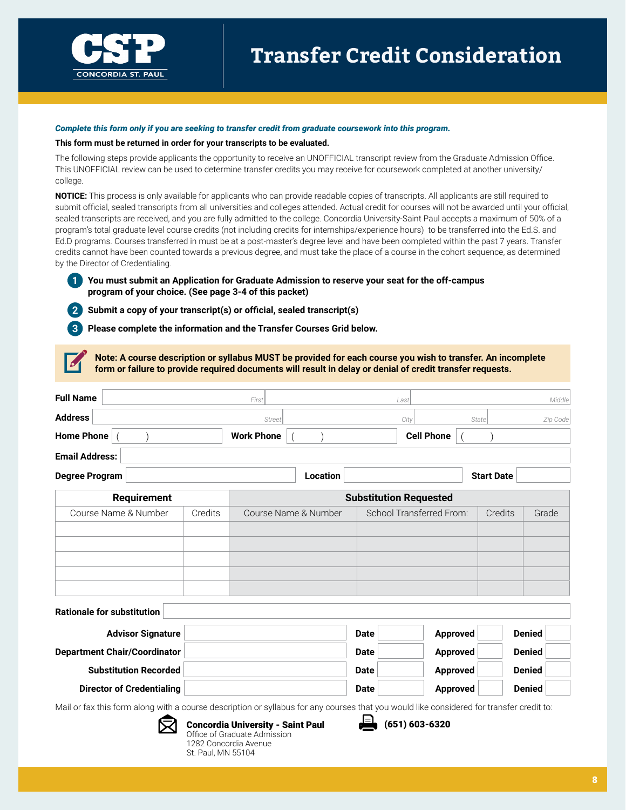

#### *Complete this form only if you are seeking to transfer credit from graduate coursework into this program.*

#### **This form must be returned in order for your transcripts to be evaluated.**

The following steps provide applicants the opportunity to receive an UNOFFICIAL transcript review from the Graduate Admission Office. This UNOFFICIAL review can be used to determine transfer credits you may receive for coursework completed at another university/ college.

**NOTICE:** This process is only available for applicants who can provide readable copies of transcripts. All applicants are still required to submit official, sealed transcripts from all universities and colleges attended. Actual credit for courses will not be awarded until your official, sealed transcripts are received, and you are fully admitted to the college. Concordia University-Saint Paul accepts a maximum of 50% of a program's total graduate level course credits (not including credits for internships/experience hours) to be transferred into the Ed.S. and Ed.D programs. Courses transferred in must be at a post-master's degree level and have been completed within the past 7 years. Transfer credits cannot have been counted towards a previous degree, and must take the place of a course in the cohort sequence, as determined by the Director of Credentialing.

#### **1 You must submit an Application for Graduate Admission to reserve your seat for the off-campus program of your choice. (See page 3-4 of this packet)**

**2 Submit a copy of your transcript(s) or official, sealed transcript(s)**

St. Paul, MN 55104

**3 Please complete the information and the Transfer Courses Grid below.**

**Note: A course description or syllabus MUST be provided for each course you wish to transfer. An incomplete form or failure to provide required documents will result in delay or denial of credit transfer requests.** 

| <b>Full Name</b>                                                                                                                         |         | First                                                                                             |                      |             | Last                          |       |                   | Middle   |
|------------------------------------------------------------------------------------------------------------------------------------------|---------|---------------------------------------------------------------------------------------------------|----------------------|-------------|-------------------------------|-------|-------------------|----------|
| <b>Address</b>                                                                                                                           |         | <b>Street</b>                                                                                     |                      |             | City                          | State |                   | Zip Code |
| <b>Home Phone</b>                                                                                                                        |         | <b>Work Phone</b>                                                                                 |                      |             | <b>Cell Phone</b>             |       |                   |          |
| <b>Email Address:</b>                                                                                                                    |         |                                                                                                   |                      |             |                               |       |                   |          |
| <b>Degree Program</b>                                                                                                                    |         |                                                                                                   | Location             |             |                               |       | <b>Start Date</b> |          |
| <b>Requirement</b>                                                                                                                       |         |                                                                                                   |                      |             | <b>Substitution Requested</b> |       |                   |          |
| Course Name & Number                                                                                                                     | Credits |                                                                                                   | Course Name & Number |             | School Transferred From:      |       | Credits           | Grade    |
|                                                                                                                                          |         |                                                                                                   |                      |             |                               |       |                   |          |
|                                                                                                                                          |         |                                                                                                   |                      |             |                               |       |                   |          |
|                                                                                                                                          |         |                                                                                                   |                      |             |                               |       |                   |          |
|                                                                                                                                          |         |                                                                                                   |                      |             |                               |       |                   |          |
| <b>Rationale for substitution</b>                                                                                                        |         |                                                                                                   |                      |             |                               |       |                   |          |
| <b>Advisor Signature</b>                                                                                                                 |         |                                                                                                   |                      | <b>Date</b> | <b>Approved</b>               |       | <b>Denied</b>     |          |
| <b>Department Chair/Coordinator</b>                                                                                                      |         |                                                                                                   |                      | <b>Date</b> | <b>Approved</b>               |       | <b>Denied</b>     |          |
| <b>Substitution Recorded</b>                                                                                                             |         |                                                                                                   |                      | <b>Date</b> | Approved                      |       | <b>Denied</b>     |          |
| <b>Director of Credentialing</b>                                                                                                         |         |                                                                                                   |                      | <b>Date</b> | <b>Approved</b>               |       | <b>Denied</b>     |          |
| Mail or fax this form along with a course description or syllabus for any courses that you would like considered for transfer credit to: |         |                                                                                                   |                      |             |                               |       |                   |          |
|                                                                                                                                          |         | <b>Concordia University - Saint Paul</b><br>Office of Graduate Admission<br>1282 Concordia Avenue |                      |             | $(651) 603 - 6320$            |       |                   |          |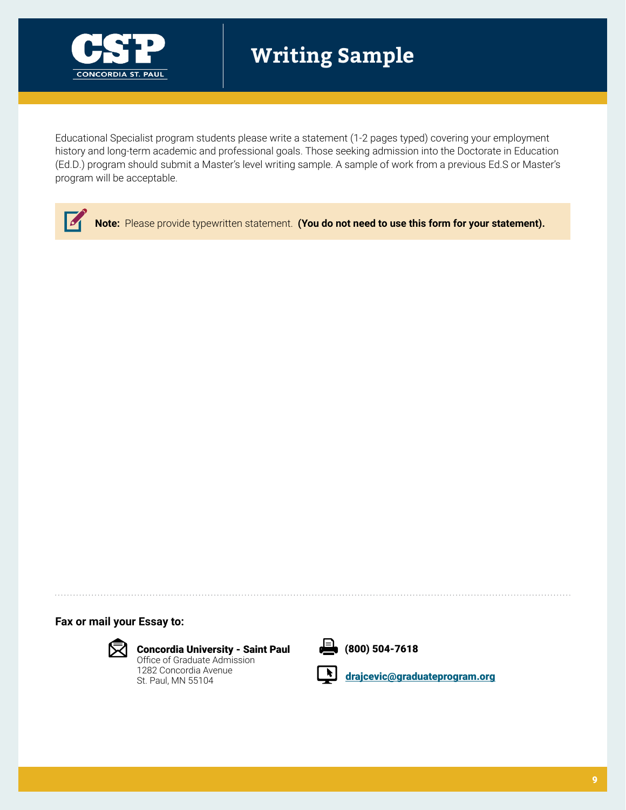

# **Writing Sample**

Educational Specialist program students please write a statement (1-2 pages typed) covering your employment history and long-term academic and professional goals. Those seeking admission into the Doctorate in Education (Ed.D.) program should submit a Master's level writing sample. A sample of work from a previous Ed.S or Master's program will be acceptable.

 $\sqrt{2}$ **Note:** Please provide typewritten statement. **(You do not need to use this form for your statement).**

**Fax or mail your Essay to:** 



Concordia University - Saint Paul Office of Graduate Admission 1282 Concordia Avenue

St. Paul, MN 55104



 $\frac{1}{2}$  (800) 504-7618

drajcevi[c@graduateprogram.org](mailto:drajcevic%40graduateprogram.org?subject=)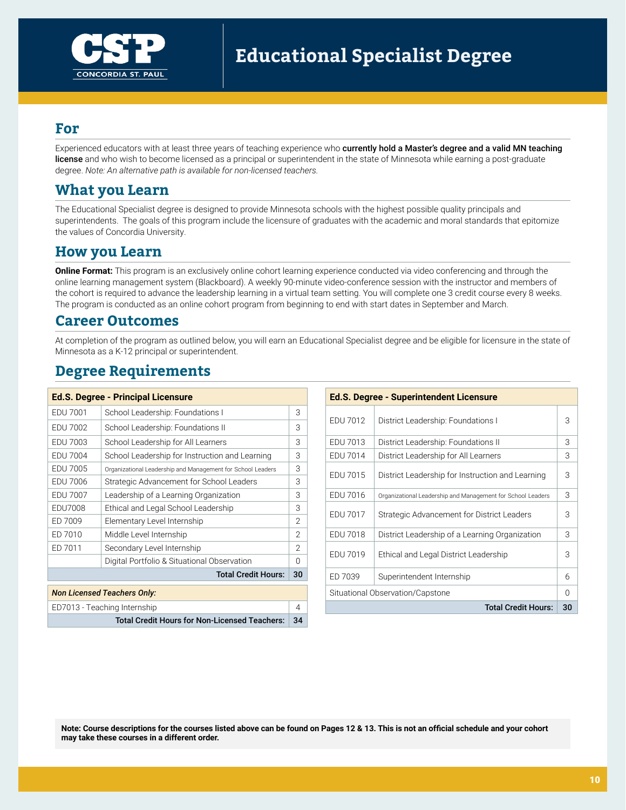

### **For**

Experienced educators with at least three years of teaching experience who currently hold a Master's degree and a valid MN teaching license and who wish to become licensed as a principal or superintendent in the state of Minnesota while earning a post-graduate degree. *Note: An alternative path is available for non-licensed teachers.* 

# **What you Learn**

The Educational Specialist degree is designed to provide Minnesota schools with the highest possible quality principals and superintendents. The goals of this program include the licensure of graduates with the academic and moral standards that epitomize the values of Concordia University.

# **How you Learn**

**Online Format:** This program is an exclusively online cohort learning experience conducted via video conferencing and through the online learning management system (Blackboard). A weekly 90-minute video-conference session with the instructor and members of the cohort is required to advance the leadership learning in a virtual team setting. You will complete one 3 credit course every 8 weeks. The program is conducted as an online cohort program from beginning to end with start dates in September and March.

## **Career Outcomes**

At completion of the program as outlined below, you will earn an Educational Specialist degree and be eligible for licensure in the state of Minnesota as a K-12 principal or superintendent.

# **Degree Requirements**

|                                    | <b>Ed.S. Degree - Principal Licensure</b>                   |              |          | <b>Ed.S. Degree - Superintendent Licensure</b> |                                                             |    |
|------------------------------------|-------------------------------------------------------------|--------------|----------|------------------------------------------------|-------------------------------------------------------------|----|
| EDU 7001                           | School Leadership: Foundations I                            | 3            |          |                                                |                                                             |    |
| EDU 7002                           | School Leadership: Foundations II                           | 3            |          | EDU 7012                                       | District Leadership: Foundations I                          | 3  |
| EDU 7003                           | School Leadership for All Learners                          | 3            |          | EDU 7013                                       | District Leadership: Foundations II                         | 3  |
| EDU 7004                           | School Leadership for Instruction and Learning              | 3            |          | EDU 7014                                       | District Leadership for All Learners                        | 3  |
| EDU 7005                           | Organizational Leadership and Management for School Leaders | 3            | EDU 7015 |                                                | District Leadership for Instruction and Learning            | 3  |
| EDU 7006                           | Strategic Advancement for School Leaders                    | 3            |          |                                                |                                                             |    |
| EDU 7007                           | Leadership of a Learning Organization                       | 3            |          | EDU 7016                                       | Organizational Leadership and Management for School Leaders | 3  |
| EDU7008                            | Ethical and Legal School Leadership                         | 3            |          | <b>EDU 7017</b>                                | Strategic Advancement for District Leaders                  | 3  |
| ED 7009                            | Elementary Level Internship                                 | 2            |          |                                                |                                                             |    |
| ED 7010                            | Middle Level Internship                                     | 2            |          | <b>EDU 7018</b>                                | District Leadership of a Learning Organization              | 3  |
| ED 7011                            | Secondary Level Internship                                  | 2            |          | EDU 7019                                       |                                                             | 3  |
|                                    | Digital Portfolio & Situational Observation                 | <sup>0</sup> |          |                                                | Ethical and Legal District Leadership                       |    |
| <b>Total Credit Hours:</b>         |                                                             |              |          | ED 7039                                        | Superintendent Internship                                   | 6  |
| <b>Non Licensed Teachers Only:</b> |                                                             |              |          | Situational Observation/Capstone<br>0          |                                                             |    |
| ED7013 - Teaching Internship<br>4  |                                                             |              |          |                                                | <b>Total Credit Hours:</b>                                  | 30 |

|                            |                |          | <b>Ed.S. Degree - Superintendent Licensure</b>              |          |
|----------------------------|----------------|----------|-------------------------------------------------------------|----------|
| s I                        | 3              |          |                                                             | 3        |
| sН                         | 3              | EDU 7012 | District Leadership: Foundations I                          |          |
| ers                        | 3              | EDU 7013 | District Leadership: Foundations II                         | 3        |
| on and Learning            | 3              | EDU 7014 | District Leadership for All Learners                        | 3        |
| ent for School Leaders     | 3              | EDU 7015 |                                                             | 3        |
| ool Leaders                | 3              |          | District Leadership for Instruction and Learning            |          |
| ization                    | 3              | EDU 7016 | Organizational Leadership and Management for School Leaders | 3        |
| rship                      | 3              | EDU 7017 | Strategic Advancement for District Leaders                  | 3        |
|                            | $\mathfrak{D}$ |          |                                                             |          |
|                            | $\mathfrak{D}$ | EDU 7018 | District Leadership of a Learning Organization              | 3        |
|                            | $\mathfrak{D}$ | EDU 7019 |                                                             | 3        |
| oservation                 | $\Omega$       |          | Ethical and Legal District Leadership                       |          |
| <b>Total Credit Hours:</b> | 30             | ED 7039  | Superintendent Internship                                   | 6        |
|                            |                |          | Situational Observation/Capstone                            | $\Omega$ |
|                            | $\overline{4}$ |          | <b>Total Credit Hours:</b>                                  | 30       |

Total Credit Hours for Non-Licensed Teachers: 34

**Note: Course descriptions for the courses listed above can be found on Pages 12 & 13. This is not an official schedule and your cohort may take these courses in a different order.**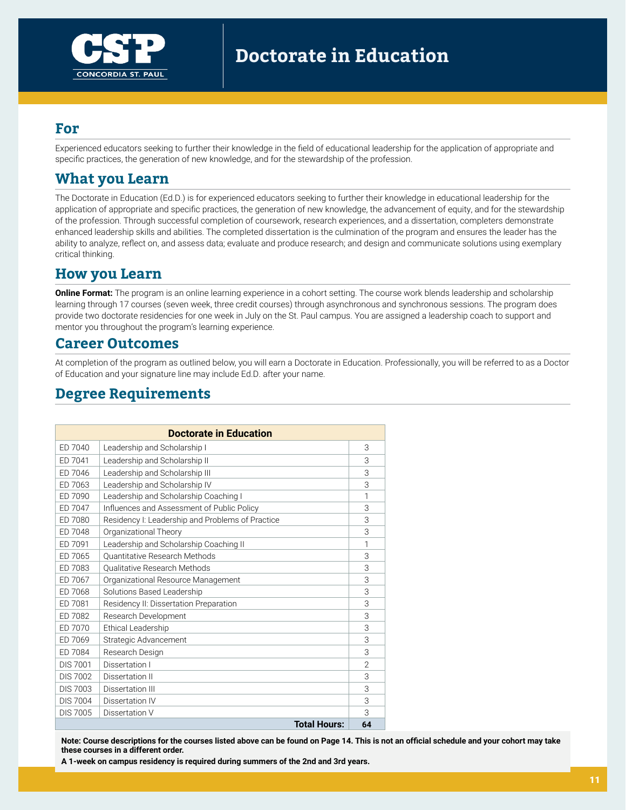

### **For**

Experienced educators seeking to further their knowledge in the field of educational leadership for the application of appropriate and specific practices, the generation of new knowledge, and for the stewardship of the profession.

# **What you Learn**

The Doctorate in Education (Ed.D.) is for experienced educators seeking to further their knowledge in educational leadership for the application of appropriate and specific practices, the generation of new knowledge, the advancement of equity, and for the stewardship of the profession. Through successful completion of coursework, research experiences, and a dissertation, completers demonstrate enhanced leadership skills and abilities. The completed dissertation is the culmination of the program and ensures the leader has the ability to analyze, reflect on, and assess data; evaluate and produce research; and design and communicate solutions using exemplary critical thinking.

## **How you Learn**

**Online Format:** The program is an online learning experience in a cohort setting. The course work blends leadership and scholarship learning through 17 courses (seven week, three credit courses) through asynchronous and synchronous sessions. The program does provide two doctorate residencies for one week in July on the St. Paul campus. You are assigned a leadership coach to support and mentor you throughout the program's learning experience.

### **Career Outcomes**

At completion of the program as outlined below, you will earn a Doctorate in Education. Professionally, you will be referred to as a Doctor of Education and your signature line may include Ed.D. after your name.

# **Degree Requirements**

|                 | <b>Doctorate in Education</b>                    |                |  |  |  |  |  |
|-----------------|--------------------------------------------------|----------------|--|--|--|--|--|
| ED 7040         | Leadership and Scholarship I                     | 3              |  |  |  |  |  |
| ED 7041         | Leadership and Scholarship II                    | 3              |  |  |  |  |  |
| ED 7046         | Leadership and Scholarship III                   |                |  |  |  |  |  |
| ED 7063         | Leadership and Scholarship IV                    | 3              |  |  |  |  |  |
| ED 7090         | Leadership and Scholarship Coaching I            | 1              |  |  |  |  |  |
| ED 7047         | Influences and Assessment of Public Policy       | 3              |  |  |  |  |  |
| ED 7080         | Residency I: Leadership and Problems of Practice | 3              |  |  |  |  |  |
| ED 7048         | Organizational Theory                            | 3              |  |  |  |  |  |
| ED 7091         | Leadership and Scholarship Coaching II           | 1              |  |  |  |  |  |
| ED 7065         | Quantitative Research Methods                    | 3              |  |  |  |  |  |
| ED 7083         | <b>Oualitative Research Methods</b>              | 3              |  |  |  |  |  |
| ED 7067         | Organizational Resource Management               | 3              |  |  |  |  |  |
| ED 7068         | Solutions Based Leadership                       | 3              |  |  |  |  |  |
| ED 7081         | Residency II: Dissertation Preparation           | 3              |  |  |  |  |  |
| ED 7082         | Research Development                             | 3              |  |  |  |  |  |
| ED 7070         | Ethical Leadership                               | 3              |  |  |  |  |  |
| ED 7069         | Strategic Advancement                            | 3              |  |  |  |  |  |
| ED 7084         | Research Design                                  | 3              |  |  |  |  |  |
| <b>DIS 7001</b> | Dissertation I                                   | $\mathfrak{D}$ |  |  |  |  |  |
| <b>DIS 7002</b> | Dissertation II                                  | 3              |  |  |  |  |  |
| <b>DIS 7003</b> | Dissertation III                                 | 3              |  |  |  |  |  |
| <b>DIS 7004</b> | Dissertation IV                                  | 3              |  |  |  |  |  |
| <b>DIS 7005</b> | Dissertation V                                   | 3              |  |  |  |  |  |
|                 | <b>Total Hours:</b>                              | 64             |  |  |  |  |  |

**Note: Course descriptions for the courses listed above can be found on Page 14. This is not an official schedule and your cohort may take these courses in a different order.** 

**A 1-week on campus residency is required during summers of the 2nd and 3rd years.**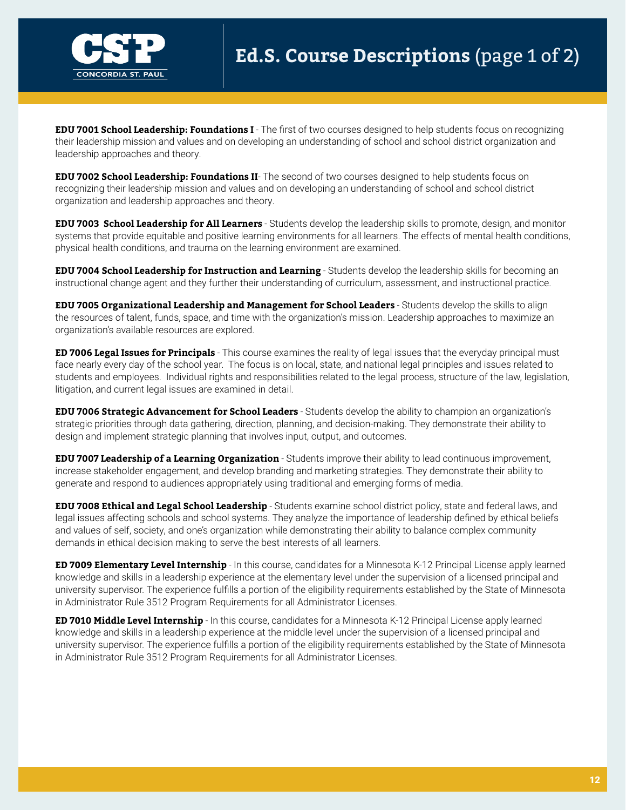

**EDU 7001 School Leadership: Foundations I** - The first of two courses designed to help students focus on recognizing their leadership mission and values and on developing an understanding of school and school district organization and leadership approaches and theory.

**EDU 7002 School Leadership: Foundations II**- The second of two courses designed to help students focus on recognizing their leadership mission and values and on developing an understanding of school and school district organization and leadership approaches and theory.

**EDU 7003 School Leadership for All Learners** - Students develop the leadership skills to promote, design, and monitor systems that provide equitable and positive learning environments for all learners. The effects of mental health conditions, physical health conditions, and trauma on the learning environment are examined.

**EDU 7004 School Leadership for Instruction and Learning** - Students develop the leadership skills for becoming an instructional change agent and they further their understanding of curriculum, assessment, and instructional practice.

**EDU 7005 Organizational Leadership and Management for School Leaders** - Students develop the skills to align the resources of talent, funds, space, and time with the organization's mission. Leadership approaches to maximize an organization's available resources are explored.

**ED 7006 Legal Issues for Principals** - This course examines the reality of legal issues that the everyday principal must face nearly every day of the school year. The focus is on local, state, and national legal principles and issues related to students and employees. Individual rights and responsibilities related to the legal process, structure of the law, legislation, litigation, and current legal issues are examined in detail.

**EDU 7006 Strategic Advancement for School Leaders** - Students develop the ability to champion an organization's strategic priorities through data gathering, direction, planning, and decision-making. They demonstrate their ability to design and implement strategic planning that involves input, output, and outcomes.

**EDU 7007 Leadership of a Learning Organization** - Students improve their ability to lead continuous improvement, increase stakeholder engagement, and develop branding and marketing strategies. They demonstrate their ability to generate and respond to audiences appropriately using traditional and emerging forms of media.

**EDU 7008 Ethical and Legal School Leadership** - Students examine school district policy, state and federal laws, and legal issues affecting schools and school systems. They analyze the importance of leadership defined by ethical beliefs and values of self, society, and one's organization while demonstrating their ability to balance complex community demands in ethical decision making to serve the best interests of all learners.

**ED 7009 Elementary Level Internship** - In this course, candidates for a Minnesota K-12 Principal License apply learned knowledge and skills in a leadership experience at the elementary level under the supervision of a licensed principal and university supervisor. The experience fulfills a portion of the eligibility requirements established by the State of Minnesota in Administrator Rule 3512 Program Requirements for all Administrator Licenses.

**ED 7010 Middle Level Internship** - In this course, candidates for a Minnesota K-12 Principal License apply learned knowledge and skills in a leadership experience at the middle level under the supervision of a licensed principal and university supervisor. The experience fulfills a portion of the eligibility requirements established by the State of Minnesota in Administrator Rule 3512 Program Requirements for all Administrator Licenses.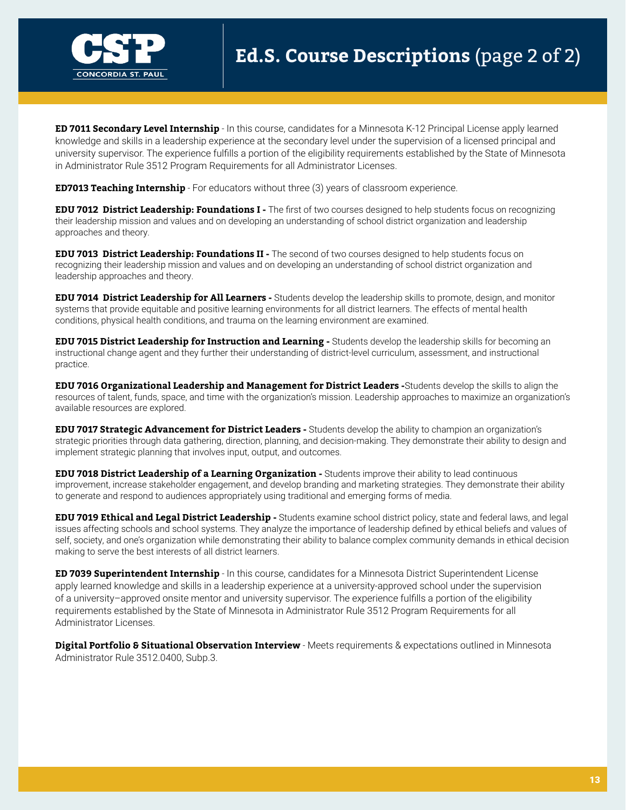

**ED 7011 Secondary Level Internship** - In this course, candidates for a Minnesota K-12 Principal License apply learned knowledge and skills in a leadership experience at the secondary level under the supervision of a licensed principal and university supervisor. The experience fulfills a portion of the eligibility requirements established by the State of Minnesota in Administrator Rule 3512 Program Requirements for all Administrator Licenses.

**ED7013 Teaching Internship** - For educators without three (3) years of classroom experience.

**EDU 7012 District Leadership: Foundations I -** The first of two courses designed to help students focus on recognizing their leadership mission and values and on developing an understanding of school district organization and leadership approaches and theory.

**EDU 7013 District Leadership: Foundations II -** The second of two courses designed to help students focus on recognizing their leadership mission and values and on developing an understanding of school district organization and leadership approaches and theory.

**EDU 7014 District Leadership for All Learners -** Students develop the leadership skills to promote, design, and monitor systems that provide equitable and positive learning environments for all district learners. The effects of mental health conditions, physical health conditions, and trauma on the learning environment are examined.

**EDU 7015 District Leadership for Instruction and Learning -** Students develop the leadership skills for becoming an instructional change agent and they further their understanding of district-level curriculum, assessment, and instructional practice.

**EDU 7016 Organizational Leadership and Management for District Leaders -**Students develop the skills to align the resources of talent, funds, space, and time with the organization's mission. Leadership approaches to maximize an organization's available resources are explored.

**EDU 7017 Strategic Advancement for District Leaders -** Students develop the ability to champion an organization's strategic priorities through data gathering, direction, planning, and decision-making. They demonstrate their ability to design and implement strategic planning that involves input, output, and outcomes.

**EDU 7018 District Leadership of a Learning Organization -** Students improve their ability to lead continuous improvement, increase stakeholder engagement, and develop branding and marketing strategies. They demonstrate their ability to generate and respond to audiences appropriately using traditional and emerging forms of media.

**EDU 7019 Ethical and Legal District Leadership -** Students examine school district policy, state and federal laws, and legal issues affecting schools and school systems. They analyze the importance of leadership defined by ethical beliefs and values of self, society, and one's organization while demonstrating their ability to balance complex community demands in ethical decision making to serve the best interests of all district learners.

**ED 7039 Superintendent Internship** - In this course, candidates for a Minnesota District Superintendent License apply learned knowledge and skills in a leadership experience at a university-approved school under the supervision of a university–approved onsite mentor and university supervisor. The experience fulfills a portion of the eligibility requirements established by the State of Minnesota in Administrator Rule 3512 Program Requirements for all Administrator Licenses.

**Digital Portfolio & Situational Observation Interview** - Meets requirements & expectations outlined in Minnesota Administrator Rule 3512.0400, Subp.3.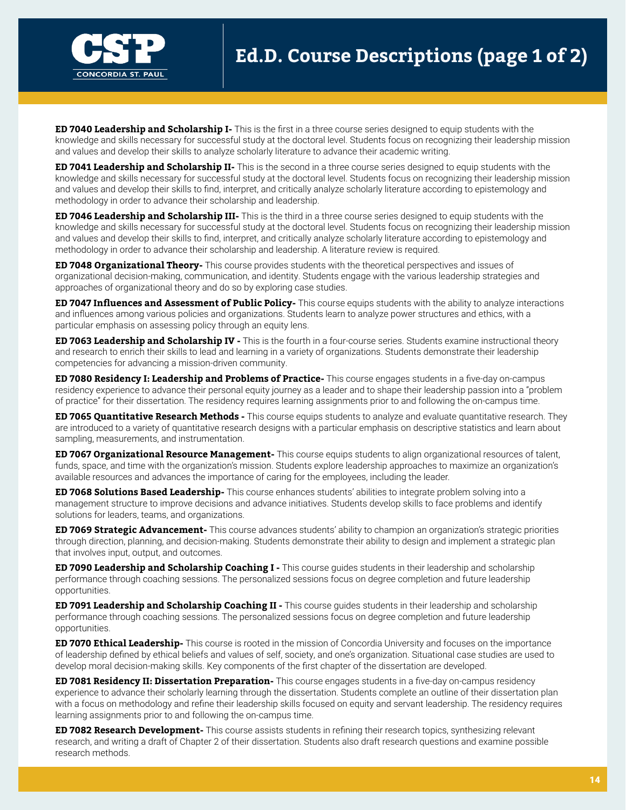

**ED 7040 Leadership and Scholarship I-** This is the first in a three course series designed to equip students with the knowledge and skills necessary for successful study at the doctoral level. Students focus on recognizing their leadership mission and values and develop their skills to analyze scholarly literature to advance their academic writing.

**ED 7041 Leadership and Scholarship II-** This is the second in a three course series designed to equip students with the knowledge and skills necessary for successful study at the doctoral level. Students focus on recognizing their leadership mission and values and develop their skills to find, interpret, and critically analyze scholarly literature according to epistemology and methodology in order to advance their scholarship and leadership.

**ED 7046 Leadership and Scholarship III-** This is the third in a three course series designed to equip students with the knowledge and skills necessary for successful study at the doctoral level. Students focus on recognizing their leadership mission and values and develop their skills to find, interpret, and critically analyze scholarly literature according to epistemology and methodology in order to advance their scholarship and leadership. A literature review is required.

**ED 7048 Organizational Theory-** This course provides students with the theoretical perspectives and issues of organizational decision-making, communication, and identity. Students engage with the various leadership strategies and approaches of organizational theory and do so by exploring case studies.

**ED 7047 Influences and Assessment of Public Policy-** This course equips students with the ability to analyze interactions and influences among various policies and organizations. Students learn to analyze power structures and ethics, with a particular emphasis on assessing policy through an equity lens.

**ED 7063 Leadership and Scholarship IV -** This is the fourth in a four-course series. Students examine instructional theory and research to enrich their skills to lead and learning in a variety of organizations. Students demonstrate their leadership competencies for advancing a mission-driven community.

**ED 7080 Residency I: Leadership and Problems of Practice-** This course engages students in a five-day on-campus residency experience to advance their personal equity journey as a leader and to shape their leadership passion into a "problem of practice" for their dissertation. The residency requires learning assignments prior to and following the on-campus time.

**ED 7065 Quantitative Research Methods -** This course equips students to analyze and evaluate quantitative research. They are introduced to a variety of quantitative research designs with a particular emphasis on descriptive statistics and learn about sampling, measurements, and instrumentation.

**ED 7067 Organizational Resource Management-** This course equips students to align organizational resources of talent, funds, space, and time with the organization's mission. Students explore leadership approaches to maximize an organization's available resources and advances the importance of caring for the employees, including the leader.

**ED 7068 Solutions Based Leadership-** This course enhances students' abilities to integrate problem solving into a management structure to improve decisions and advance initiatives. Students develop skills to face problems and identify solutions for leaders, teams, and organizations.

**ED 7069 Strategic Advancement-** This course advances students' ability to champion an organization's strategic priorities through direction, planning, and decision-making. Students demonstrate their ability to design and implement a strategic plan that involves input, output, and outcomes.

**ED 7090 Leadership and Scholarship Coaching I -** This course guides students in their leadership and scholarship performance through coaching sessions. The personalized sessions focus on degree completion and future leadership opportunities.

**ED 7091 Leadership and Scholarship Coaching II -** This course guides students in their leadership and scholarship performance through coaching sessions. The personalized sessions focus on degree completion and future leadership opportunities.

**ED 7070 Ethical Leadership-** This course is rooted in the mission of Concordia University and focuses on the importance of leadership defined by ethical beliefs and values of self, society, and one's organization. Situational case studies are used to develop moral decision-making skills. Key components of the first chapter of the dissertation are developed.

**ED 7081 Residency II: Dissertation Preparation-** This course engages students in a five-day on-campus residency experience to advance their scholarly learning through the dissertation. Students complete an outline of their dissertation plan with a focus on methodology and refine their leadership skills focused on equity and servant leadership. The residency requires learning assignments prior to and following the on-campus time.

**ED 7082 Research Development-** This course assists students in refining their research topics, synthesizing relevant research, and writing a draft of Chapter 2 of their dissertation. Students also draft research questions and examine possible research methods.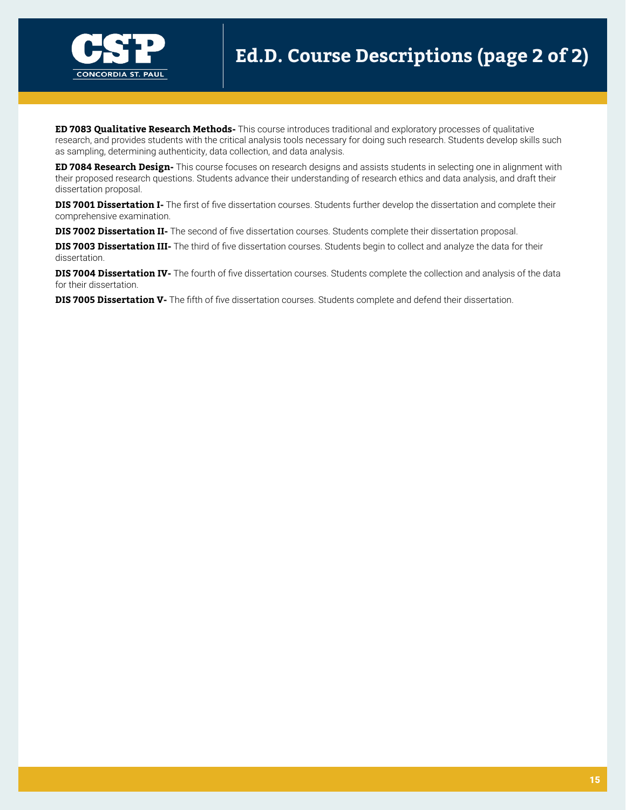

**ED 7083 Qualitative Research Methods-** This course introduces traditional and exploratory processes of qualitative research, and provides students with the critical analysis tools necessary for doing such research. Students develop skills such as sampling, determining authenticity, data collection, and data analysis.

**ED 7084 Research Design-** This course focuses on research designs and assists students in selecting one in alignment with their proposed research questions. Students advance their understanding of research ethics and data analysis, and draft their dissertation proposal.

**DIS 7001 Dissertation I-** The first of five dissertation courses. Students further develop the dissertation and complete their comprehensive examination.

**DIS 7002 Dissertation II-** The second of five dissertation courses. Students complete their dissertation proposal.

**DIS 7003 Dissertation III-** The third of five dissertation courses. Students begin to collect and analyze the data for their dissertation.

**DIS 7004 Dissertation IV-** The fourth of five dissertation courses. Students complete the collection and analysis of the data for their dissertation.

**DIS 7005 Dissertation V-** The fifth of five dissertation courses. Students complete and defend their dissertation.